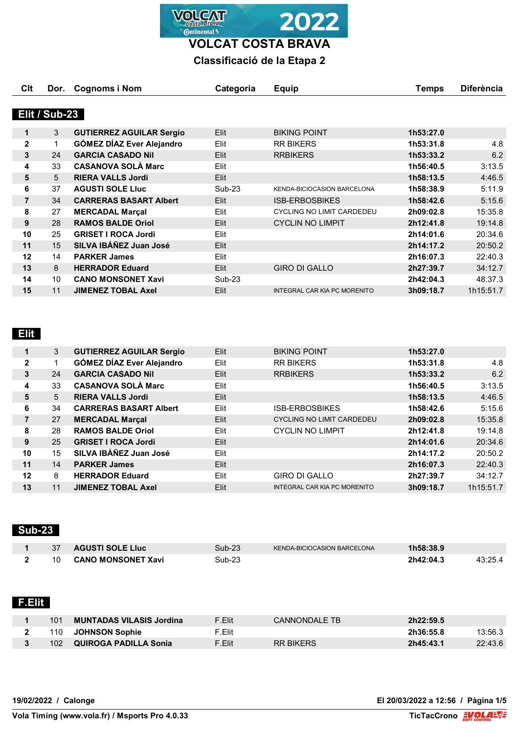

**VOLCAT COSTA BRAVA**

## **Classificació de la Etapa 2**

| Clt            | Dor.          | Cognoms i Nom                    | Categoria | <b>Equip</b>                        | Temps     | <b>Diferència</b> |
|----------------|---------------|----------------------------------|-----------|-------------------------------------|-----------|-------------------|
|                |               |                                  |           |                                     |           |                   |
|                | Elit / Sub-23 |                                  |           |                                     |           |                   |
| 1              | 3             | <b>GUTIERREZ AGUILAR Sergio</b>  | Elit      | <b>BIKING POINT</b>                 | 1h53:27.0 |                   |
| $\mathbf{2}$   | 1             | <b>GÓMEZ DÍAZ Ever Alejandro</b> | Elit      | <b>RR BIKERS</b>                    | 1h53:31.8 | 4.8               |
| 3              | 24            | <b>GARCIA CASADO Nil</b>         | Elit      | <b>RRBIKERS</b>                     | 1h53:33.2 | 6.2               |
| 4              | 33            | <b>CASANOVA SOLÀ Marc</b>        | Elit      |                                     | 1h56:40.5 | 3:13.5            |
| 5              | 5             | <b>RIERA VALLS Jordi</b>         | Elit      |                                     | 1h58:13.5 | 4:46.5            |
| 6              | 37            | <b>AGUSTI SOLE LIUC</b>          | Sub-23    | KENDA-BICIOCASION BARCELONA         | 1h58:38.9 | 5:11.9            |
| $\overline{7}$ | 34            | <b>CARRERAS BASART Albert</b>    | Elit      | <b>ISB-ERBOSBIKES</b>               | 1h58:42.6 | 5:15.6            |
| 8              | 27            | <b>MERCADAL Marçal</b>           | Elit      | <b>CYCLING NO LIMIT CARDEDEU</b>    | 2h09:02.8 | 15:35.8           |
| 9              | 28            | <b>RAMOS BALDE Oriol</b>         | Elit      | <b>CYCLIN NO LIMPIT</b>             | 2h12:41.8 | 19:14.8           |
| 10             | 25            | <b>GRISET I ROCA Jordi</b>       | Elit      |                                     | 2h14:01.6 | 20:34.6           |
| 11             | 15            | SILVA IBÁÑEZ Juan José           | Elit      |                                     | 2h14:17.2 | 20:50.2           |
| 12             | 14            | <b>PARKER James</b>              | Elit      |                                     | 2h16:07.3 | 22:40.3           |
| 13             | 8             | <b>HERRADOR Eduard</b>           | Elit      | <b>GIRO DI GALLO</b>                | 2h27:39.7 | 34:12.7           |
| 14             | 10            | <b>CANO MONSONET Xavi</b>        | $Sub-23$  |                                     | 2h42:04.3 | 48:37.3           |
| 15             | 11            | <b>JIMENEZ TOBAL Axel</b>        | Elit      | <b>INTEGRAL CAR KIA PC MORENITO</b> | 3h09:18.7 | 1h15:51.7         |

# **Elit**

|                | 3  | <b>GUTIERREZ AGUILAR Sergio</b>  | Elit        | <b>BIKING POINT</b>              | 1h53:27.0 |           |
|----------------|----|----------------------------------|-------------|----------------------------------|-----------|-----------|
| $\overline{2}$ |    | <b>GÓMEZ DÍAZ Ever Alejandro</b> | Elit        | <b>RR BIKERS</b>                 | 1h53:31.8 | 4.8       |
| 3              | 24 | <b>GARCIA CASADO Nil</b>         | Elit        | <b>RRBIKERS</b>                  | 1h53:33.2 | 6.2       |
| 4              | 33 | <b>CASANOVA SOLÀ Marc</b>        | Elit        |                                  | 1h56:40.5 | 3:13.5    |
| 5              | 5  | <b>RIERA VALLS Jordi</b>         | <b>Elit</b> |                                  | 1h58:13.5 | 4:46.5    |
| 6              | 34 | <b>CARRERAS BASART Albert</b>    | Elit        | <b>ISB-ERBOSBIKES</b>            | 1h58:42.6 | 5:15.6    |
| 7              | 27 | <b>MERCADAL Marçal</b>           | Elit        | <b>CYCLING NO LIMIT CARDEDEU</b> | 2h09:02.8 | 15:35.8   |
| 8              | 28 | <b>RAMOS BALDE Oriol</b>         | Elit        | <b>CYCLIN NO LIMPIT</b>          | 2h12:41.8 | 19:14.8   |
| 9              | 25 | <b>GRISET I ROCA Jordi</b>       | Elit        |                                  | 2h14:01.6 | 20:34.6   |
| 10             | 15 | SILVA IBÁÑEZ Juan José           | Elit        |                                  | 2h14:17.2 | 20:50.2   |
| 11             | 14 | <b>PARKER James</b>              | Elit        |                                  | 2h16:07.3 | 22:40.3   |
| 12             | 8  | <b>HERRADOR Eduard</b>           | Elit        | <b>GIRO DI GALLO</b>             | 2h27:39.7 | 34:12.7   |
| 13             | 11 | <b>JIMENEZ TOBAL Axel</b>        | Elit        | INTEGRAL CAR KIA PC MORENITO     | 3h09:18.7 | 1h15:51.7 |

### **Sub-23**

|  | <b>AGUSTI SOLE LIUC</b>   | $Sub-23$ | <b>KENDA-BICIOCASION BARCELONA</b> | 1h58:38.9 |         |
|--|---------------------------|----------|------------------------------------|-----------|---------|
|  | <b>CANO MONSONET Xavi</b> | $Sub-23$ |                                    | 2h42:04.3 | 43:25.4 |

## **F.Elit**

| 101 | MUNTADAS VILASIS Jordina | F.Elit | CANNONDALE TB    | 2h22:59.5 |         |
|-----|--------------------------|--------|------------------|-----------|---------|
| 110 | <b>JOHNSON Sophie</b>    | F.Elit |                  | 2h36:55.8 | 13:56.3 |
| 102 | QUIROGA PADILLA Sonia    | F.Elit | <b>RR BIKFRS</b> | 2h45:43.1 | 22:43.6 |

**19/02/2022 / Calonge El 20/03/2022 a 12:56 / Pàgina 1/5**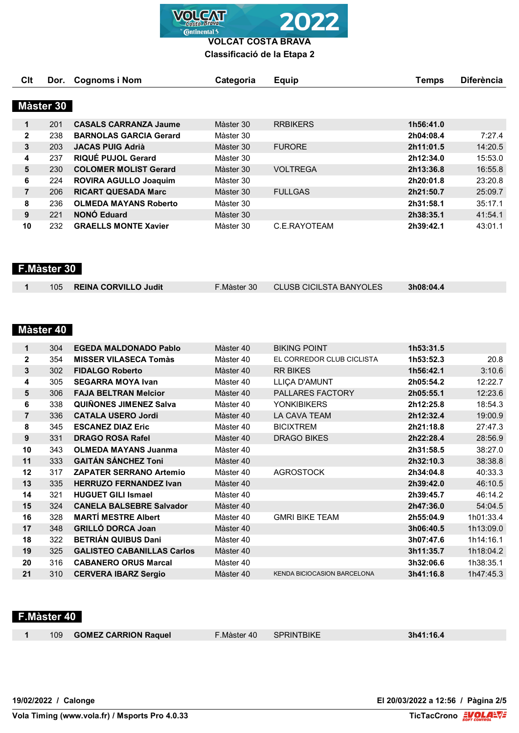

**VOLCAT COSTA BRAVA**

**Classificació de la Etapa 2**

| Clt            | Dor.      | <b>Cognoms i Nom</b>          | Categoria | <b>Equip</b>    | Temps     | <b>Diferència</b> |
|----------------|-----------|-------------------------------|-----------|-----------------|-----------|-------------------|
|                |           |                               |           |                 |           |                   |
|                | Màster 30 |                               |           |                 |           |                   |
| 1              | 201       | <b>CASALS CARRANZA Jaume</b>  | Màster 30 | <b>RRBIKERS</b> | 1h56:41.0 |                   |
| $\mathbf{2}$   | 238       | <b>BARNOLAS GARCIA Gerard</b> | Màster 30 |                 | 2h04:08.4 | 7:27.4            |
| 3              | 203       | <b>JACAS PUIG Adrià</b>       | Màster 30 | <b>FURORE</b>   | 2h11:01.5 | 14:20.5           |
| 4              | 237       | RIQUÉ PUJOL Gerard            | Màster 30 |                 | 2h12:34.0 | 15:53.0           |
| 5              | 230       | <b>COLOMER MOLIST Gerard</b>  | Màster 30 | <b>VOLTREGA</b> | 2h13:36.8 | 16:55.8           |
| 6              | 224       | <b>ROVIRA AGULLO Joaquim</b>  | Màster 30 |                 | 2h20:01.8 | 23:20.8           |
| $\overline{7}$ | 206       | <b>RICART QUESADA Marc</b>    | Màster 30 | <b>FULLGAS</b>  | 2h21:50.7 | 25:09.7           |
| 8              | 236       | <b>OLMEDA MAYANS Roberto</b>  | Màster 30 |                 | 2h31:58.1 | 35:17.1           |
| 9              | 221       | <b>NONÓ Eduard</b>            | Màster 30 |                 | 2h38:35.1 | 41:54.1           |
| 10             | 232       | <b>GRAELLS MONTE Xavier</b>   | Màster 30 | C.E.RAYOTEAM    | 2h39:42.1 | 43:01.1           |

 **F.Màster 30** 

| 105 REINA CORVILLO Judit | $\overline{\phantom{0}}$ . Màster 30 | CLUSB CICILSTA BANYOLES | 3h08:04.4 |  |
|--------------------------|--------------------------------------|-------------------------|-----------|--|

# **Màster 40**

| 1              | 304 | <b>EGEDA MALDONADO Pablo</b>      | Màster 40 | <b>BIKING POINT</b>                | 1h53:31.5 |           |
|----------------|-----|-----------------------------------|-----------|------------------------------------|-----------|-----------|
| $\mathbf{2}$   | 354 | <b>MISSER VILASECA Tomàs</b>      | Màster 40 | EL CORREDOR CLUB CICLISTA          | 1h53:52.3 | 20.8      |
| 3              | 302 | <b>FIDALGO Roberto</b>            | Màster 40 | <b>RR BIKES</b>                    | 1h56:42.1 | 3:10.6    |
| 4              | 305 | <b>SEGARRA MOYA Ivan</b>          | Màster 40 | LLIÇA D'AMUNT                      | 2h05:54.2 | 12:22.7   |
| 5              | 306 | <b>FAJA BELTRAN Melcior</b>       | Màster 40 | <b>PALLARES FACTORY</b>            | 2h05:55.1 | 12:23.6   |
| 6              | 338 | <b>QUIÑONES JIMENEZ Salva</b>     | Màster 40 | <b>YONKIBIKERS</b>                 | 2h12:25.8 | 18:54.3   |
| $\overline{7}$ | 336 | <b>CATALA USERO Jordi</b>         | Màster 40 | LA CAVA TEAM                       | 2h12:32.4 | 19:00.9   |
| 8              | 345 | <b>ESCANEZ DIAZ Eric</b>          | Màster 40 | <b>BICIXTREM</b>                   | 2h21:18.8 | 27:47.3   |
| 9              | 331 | <b>DRAGO ROSA Rafel</b>           | Màster 40 | <b>DRAGO BIKES</b>                 | 2h22:28.4 | 28:56.9   |
| 10             | 343 | <b>OLMEDA MAYANS Juanma</b>       | Màster 40 |                                    | 2h31:58.5 | 38:27.0   |
| 11             | 333 | <b>GAITÁN SÁNCHEZ Toni</b>        | Màster 40 |                                    | 2h32:10.3 | 38:38.8   |
| 12             | 317 | <b>ZAPATER SERRANO Artemio</b>    | Màster 40 | <b>AGROSTOCK</b>                   | 2h34:04.8 | 40:33.3   |
| 13             | 335 | <b>HERRUZO FERNANDEZ Ivan</b>     | Màster 40 |                                    | 2h39:42.0 | 46:10.5   |
| 14             | 321 | <b>HUGUET GILI Ismael</b>         | Màster 40 |                                    | 2h39:45.7 | 46:14.2   |
| 15             | 324 | <b>CANELA BALSEBRE Salvador</b>   | Màster 40 |                                    | 2h47:36.0 | 54:04.5   |
| 16             | 328 | <b>MARTI MESTRE Albert</b>        | Màster 40 | <b>GMRI BIKE TEAM</b>              | 2h55:04.9 | 1h01:33.4 |
| 17             | 348 | <b>GRILLÓ DORCA Joan</b>          | Màster 40 |                                    | 3h06:40.5 | 1h13:09.0 |
| 18             | 322 | <b>BETRIÁN QUIBUS Dani</b>        | Màster 40 |                                    | 3h07:47.6 | 1h14:16.1 |
| 19             | 325 | <b>GALISTEO CABANILLAS Carlos</b> | Màster 40 |                                    | 3h11:35.7 | 1h18:04.2 |
| 20             | 316 | <b>CABANERO ORUS Marcal</b>       | Màster 40 |                                    | 3h32:06.6 | 1h38:35.1 |
| 21             | 310 | <b>CERVERA IBARZ Sergio</b>       | Màster 40 | <b>KENDA BICIOCASION BARCELONA</b> | 3h41:16.8 | 1h47:45.3 |

### **F.Màster 40**

|  | 109 <b>GOMEZ CARRION Ra</b> |
|--|-----------------------------|

109 **GOMEZ CARRION Raquel** F.Màster 40 SPRINTBIKE **3h41:16.4**

**19/02/2022 / Calonge El 20/03/2022 a 12:56 / Pàgina 2/5**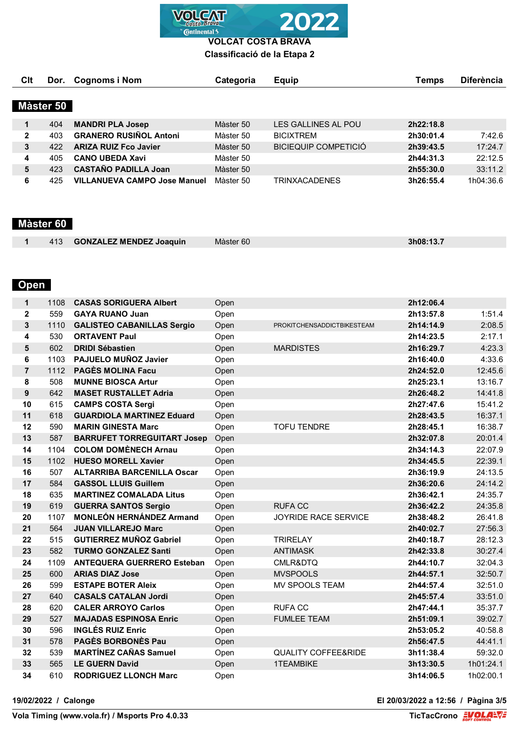**VOLCAT Continental** 

**VOLCAT COSTA BRAVA Classificació de la Etapa 2**

| Clt          | Dor.      | <b>Cognoms i Nom</b>                | Categoria | <b>Equip</b>                | Temps     | <b>Diferència</b> |
|--------------|-----------|-------------------------------------|-----------|-----------------------------|-----------|-------------------|
|              |           |                                     |           |                             |           |                   |
|              | Màster 50 |                                     |           |                             |           |                   |
|              | 404       | <b>MANDRI PLA Josep</b>             | Màster 50 | LES GALLINES AL POU         | 2h22:18.8 |                   |
| $\mathbf{2}$ | 403       | <b>GRANERO RUSIÑOL Antoni</b>       | Màster 50 | <b>BICIXTREM</b>            | 2h30:01.4 | 7:42.6            |
| 3            | 422       | <b>ARIZA RUIZ Fco Javier</b>        | Màster 50 | <b>BICIEQUIP COMPETICIÓ</b> | 2h39:43.5 | 17:24.7           |
| 4            | 405       | <b>CANO UBEDA Xavi</b>              | Màster 50 |                             | 2h44:31.3 | 22:12.5           |
| 5            | 423       | <b>CASTAÑO PADILLA Joan</b>         | Màster 50 |                             | 2h55:30.0 | 33:11.2           |
| 6            | 425       | <b>VILLANUEVA CAMPO Jose Manuel</b> | Màster 50 | <b>TRINXACADENES</b>        | 3h26:55.4 | 1h04:36.6         |

## **Màster 60**

| 413 | <b>GONZALEZ MENDEZ Joaquin</b> | Màster 60 | 3h08.12<br>19.<br>. |
|-----|--------------------------------|-----------|---------------------|
|     |                                |           |                     |

# **Open**

| $\mathbf{1}$   | 1108 | <b>CASAS SORIGUERA Albert</b>      | Open |                                | 2h12:06.4 |           |
|----------------|------|------------------------------------|------|--------------------------------|-----------|-----------|
| $\mathbf{2}$   | 559  | <b>GAYA RUANO Juan</b>             | Open |                                | 2h13:57.8 | 1:51.4    |
| 3              | 1110 | <b>GALISTEO CABANILLAS Sergio</b>  | Open | PROKITCHENSADDICTBIKESTEAM     | 2h14:14.9 | 2:08.5    |
| 4              | 530  | <b>ORTAVENT Paul</b>               | Open |                                | 2h14:23.5 | 2:17.1    |
| 5              | 602  | <b>DRIDI Sébastien</b>             | Open | <b>MARDISTES</b>               | 2h16:29.7 | 4:23.3    |
| 6              | 1103 | PAJUELO MUÑOZ Javier               | Open |                                | 2h16:40.0 | 4:33.6    |
| $\overline{7}$ | 1112 | <b>PAGÈS MOLINA Facu</b>           | Open |                                | 2h24:52.0 | 12:45.6   |
| 8              | 508  | <b>MUNNE BIOSCA Artur</b>          | Open |                                | 2h25:23.1 | 13:16.7   |
| 9              | 642  | <b>MASET RUSTALLET Adria</b>       | Open |                                | 2h26:48.2 | 14:41.8   |
| 10             | 615  | <b>CAMPS COSTA Sergi</b>           | Open |                                | 2h27:47.6 | 15:41.2   |
| 11             | 618  | <b>GUARDIOLA MARTINEZ Eduard</b>   | Open |                                | 2h28:43.5 | 16:37.1   |
| 12             | 590  | <b>MARIN GINESTA Marc</b>          | Open | <b>TOFU TENDRE</b>             | 2h28:45.1 | 16:38.7   |
| 13             | 587  | <b>BARRUFET TORREGUITART Josep</b> | Open |                                | 2h32:07.8 | 20:01.4   |
| 14             | 1104 | <b>COLOM DOMÈNECH Arnau</b>        | Open |                                | 2h34:14.3 | 22:07.9   |
| 15             | 1102 | <b>HUESO MORELL Xavier</b>         | Open |                                | 2h34:45.5 | 22:39.1   |
| 16             | 507  | <b>ALTARRIBA BARCENILLA Oscar</b>  | Open |                                | 2h36:19.9 | 24:13.5   |
| 17             | 584  | <b>GASSOL LLUIS Guillem</b>        | Open |                                | 2h36:20.6 | 24:14.2   |
| 18             | 635  | <b>MARTINEZ COMALADA Litus</b>     | Open |                                | 2h36:42.1 | 24:35.7   |
| 19             | 619  | <b>GUERRA SANTOS Sergio</b>        | Open | <b>RUFACC</b>                  | 2h36:42.2 | 24:35.8   |
| 20             | 1107 | <b>MONLEÓN HERNÁNDEZ Armand</b>    | Open | <b>JOYRIDE RACE SERVICE</b>    | 2h38:48.2 | 26:41.8   |
| 21             | 564  | <b>JUAN VILLAREJO Marc</b>         | Open |                                | 2h40:02.7 | 27:56.3   |
| 22             | 515  | <b>GUTIERREZ MUÑOZ Gabriel</b>     | Open | <b>TRIRELAY</b>                | 2h40:18.7 | 28:12.3   |
| 23             | 582  | <b>TURMO GONZALEZ Santi</b>        | Open | <b>ANTIMASK</b>                | 2h42:33.8 | 30:27.4   |
| 24             | 1109 | <b>ANTEQUERA GUERRERO Esteban</b>  | Open | CMLR&DTQ                       | 2h44:10.7 | 32:04.3   |
| 25             | 600  | <b>ARIAS DIAZ Jose</b>             | Open | <b>MVSPOOLS</b>                | 2h44:57.1 | 32:50.7   |
| 26             | 599  | <b>ESTAPE BOTER Aleix</b>          | Open | MV SPOOLS TEAM                 | 2h44:57.4 | 32:51.0   |
| 27             | 640  | <b>CASALS CATALAN Jordi</b>        | Open |                                | 2h45:57.4 | 33:51.0   |
| 28             | 620  | <b>CALER ARROYO Carlos</b>         | Open | <b>RUFA CC</b>                 | 2h47:44.1 | 35:37.7   |
| 29             | 527  | <b>MAJADAS ESPINOSA Enric</b>      | Open | <b>FUMLEE TEAM</b>             | 2h51:09.1 | 39:02.7   |
| 30             | 596  | <b>INGLÉS RUIZ Enric</b>           | Open |                                | 2h53:05.2 | 40:58.8   |
| 31             | 578  | <b>PAGÈS BORBONÈS Pau</b>          | Open |                                | 2h56:47.5 | 44:41.1   |
| 32             | 539  | <b>MARTÍNEZ CAÑAS Samuel</b>       | Open | <b>QUALITY COFFEE&amp;RIDE</b> | 3h11:38.4 | 59:32.0   |
| 33             | 565  | <b>LE GUERN David</b>              | Open | <b>1TEAMBIKE</b>               | 3h13:30.5 | 1h01:24.1 |
| 34             | 610  | <b>RODRIGUEZ LLONCH Marc</b>       | Open |                                | 3h14:06.5 | 1h02:00.1 |

**19/02/2022 / Calonge El 20/03/2022 a 12:56 / Pàgina 3/5**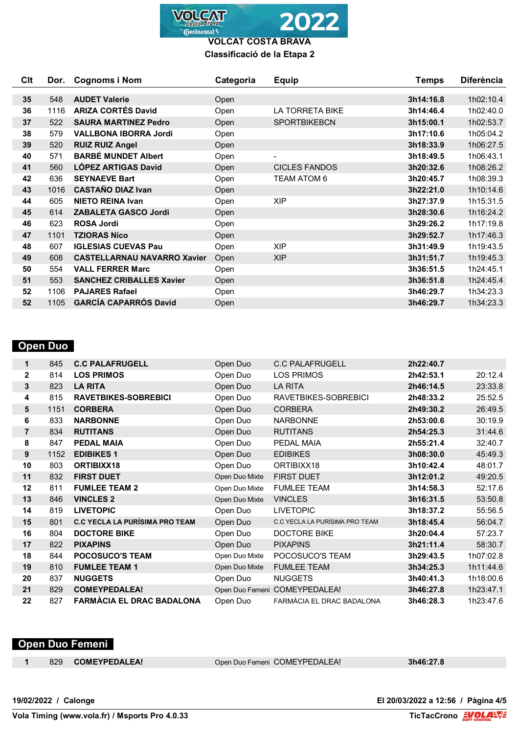

#### **VOLCAT COSTA BRAVA Classificació de la Etapa 2**

| C <sub>It</sub> | Dor. | <b>Cognoms i Nom</b>               | Categoria | <b>Equip</b>           | <b>Temps</b> | <b>Diferència</b> |
|-----------------|------|------------------------------------|-----------|------------------------|--------------|-------------------|
|                 |      |                                    |           |                        |              |                   |
| 35              | 548  | <b>AUDET Valerie</b>               | Open      |                        | 3h14:16.8    | 1h02:10.4         |
| 36              | 1116 | <b>ARIZA CORTÉS David</b>          | Open      | <b>LA TORRETA BIKE</b> | 3h14:46.4    | 1h02:40.0         |
| 37              | 522  | <b>SAURA MARTINEZ Pedro</b>        | Open      | <b>SPORTBIKEBCN</b>    | 3h15:00.1    | 1h02:53.7         |
| 38              | 579  | <b>VALLBONA IBORRA Jordi</b>       | Open      |                        | 3h17:10.6    | 1h05:04.2         |
| 39              | 520  | <b>RUIZ RUIZ Angel</b>             | Open      |                        | 3h18:33.9    | 1h06:27.5         |
| 40              | 571  | <b>BARBÉ MUNDET Albert</b>         | Open      | $\blacksquare$         | 3h18:49.5    | 1h06:43.1         |
| 41              | 560  | <b>LÓPEZ ARTIGAS David</b>         | Open      | <b>CICLES FANDOS</b>   | 3h20:32.6    | 1h08:26.2         |
| 42              | 636  | <b>SEYNAEVE Bart</b>               | Open      | TEAM ATOM 6            | 3h20:45.7    | 1h08:39.3         |
| 43              | 1016 | <b>CASTAÑO DIAZ Ivan</b>           | Open      |                        | 3h22:21.0    | 1h10:14.6         |
| 44              | 605  | <b>NIETO REINA Ivan</b>            | Open      | <b>XIP</b>             | 3h27:37.9    | 1h15:31.5         |
| 45              | 614  | <b>ZABALETA GASCO Jordi</b>        | Open      |                        | 3h28:30.6    | 1h16:24.2         |
| 46              | 623  | <b>ROSA Jordi</b>                  | Open      |                        | 3h29:26.2    | 1h17:19.8         |
| 47              | 1101 | <b>TZIORAS Nico</b>                | Open      |                        | 3h29:52.7    | 1h17:46.3         |
| 48              | 607  | <b>IGLESIAS CUEVAS Pau</b>         | Open      | <b>XIP</b>             | 3h31:49.9    | 1h19:43.5         |
| 49              | 608  | <b>CASTELLARNAU NAVARRO Xavier</b> | Open      | <b>XIP</b>             | 3h31:51.7    | 1h19:45.3         |
| 50              | 554  | <b>VALL FERRER Marc</b>            | Open      |                        | 3h36:51.5    | 1h24:45.1         |
| 51              | 553  | <b>SANCHEZ CRIBALLES Xavier</b>    | Open      |                        | 3h36:51.8    | 1h24:45.4         |
| 52              | 1106 | <b>PAJARES Rafael</b>              | Open      |                        | 3h46:29.7    | 1h34:23.3         |
| 52              | 1105 | <b>GARCÍA CAPARRÓS David</b>       | Open      |                        | 3h46:29.7    | 1h34:23.3         |

### **Open Duo**

| 1              | 845  | <b>C.C PALAFRUGELL</b>                | Open Duo       | <b>C.C PALAFRUGELL</b>         | 2h22:40.7 |           |
|----------------|------|---------------------------------------|----------------|--------------------------------|-----------|-----------|
| $\mathbf{2}$   | 814  | <b>LOS PRIMOS</b>                     | Open Duo       | LOS PRIMOS                     | 2h42:53.1 | 20:12.4   |
| 3              | 823  | <b>LA RITA</b>                        | Open Duo       | <b>LA RITA</b>                 | 2h46:14.5 | 23:33.8   |
| 4              | 815  | <b>RAVETBIKES-SOBREBICI</b>           | Open Duo       | RAVETBIKES-SOBREBICI           | 2h48:33.2 | 25:52.5   |
| 5              | 1151 | <b>CORBERA</b>                        | Open Duo       | <b>CORBERA</b>                 | 2h49:30.2 | 26:49.5   |
| 6              | 833  | <b>NARBONNE</b>                       | Open Duo       | <b>NARBONNE</b>                | 2h53:00.6 | 30:19.9   |
| $\overline{7}$ | 834  | <b>RUTITANS</b>                       | Open Duo       | <b>RUTITANS</b>                | 2h54:25.3 | 31:44.6   |
| 8              | 847  | <b>PEDAL MAIA</b>                     | Open Duo       | PEDAL MAIA                     | 2h55:21.4 | 32:40.7   |
| 9              | 1152 | <b>EDIBIKES 1</b>                     | Open Duo       | <b>EDIBIKES</b>                | 3h08:30.0 | 45:49.3   |
| 10             | 803  | ORTIBIXX18                            | Open Duo       | ORTIBIXX18                     | 3h10:42.4 | 48:01.7   |
| 11             | 832  | <b>FIRST DUET</b>                     | Open Duo Mixte | <b>FIRST DUET</b>              | 3h12:01.2 | 49:20.5   |
| 12             | 811  | <b>FUMLEE TEAM 2</b>                  | Open Duo Mixte | <b>FUMLEE TEAM</b>             | 3h14:58.3 | 52:17.6   |
| 13             | 846  | <b>VINCLES 2</b>                      | Open Duo Mixte | <b>VINCLES</b>                 | 3h16:31.5 | 53:50.8   |
| 14             | 819  | <b>LIVETOPIC</b>                      | Open Duo       | <b>LIVETOPIC</b>               | 3h18:37.2 | 55:56.5   |
| 15             | 801  | <b>C.C YECLA LA PURÍSIMA PRO TEAM</b> | Open Duo       | C.C YECLA LA PURÍSIMA PRO TEAM | 3h18:45.4 | 56:04.7   |
| 16             | 804  | <b>DOCTORE BIKE</b>                   | Open Duo       | <b>DOCTORE BIKE</b>            | 3h20:04.4 | 57:23.7   |
| 17             | 822  | <b>PIXAPINS</b>                       | Open Duo       | <b>PIXAPINS</b>                | 3h21:11.4 | 58:30.7   |
| 18             | 844  | <b>POCOSUCO'S TEAM</b>                | Open Duo Mixte | POCOSUCO'S TEAM                | 3h29:43.5 | 1h07:02.8 |
| 19             | 810  | <b>FUMLEE TEAM 1</b>                  | Open Duo Mixte | <b>FUMLEE TEAM</b>             | 3h34:25.3 | 1h11:44.6 |
| 20             | 837  | <b>NUGGETS</b>                        | Open Duo       | <b>NUGGETS</b>                 | 3h40:41.3 | 1h18:00.6 |
| 21             | 829  | <b>COMEYPEDALEA!</b>                  |                | Open Duo Femeni COMEYPEDALEA!  | 3h46:27.8 | 1h23:47.1 |
| 22             | 827  | <b>FARMACIA EL DRAC BADALONA</b>      | Open Duo       | FARMÀCIA EL DRAC BADALONA      | 3h46:28.3 | 1h23:47.6 |
|                |      |                                       |                |                                |           |           |

#### **Open Duo Femeni**

829 **COMEYPEDALEA!** Open Duo Femeni COMEYPEDALEA! **3h46:27.8**

**Vola Timing (www.vola.fr) / Msports Pro 4.0.33**